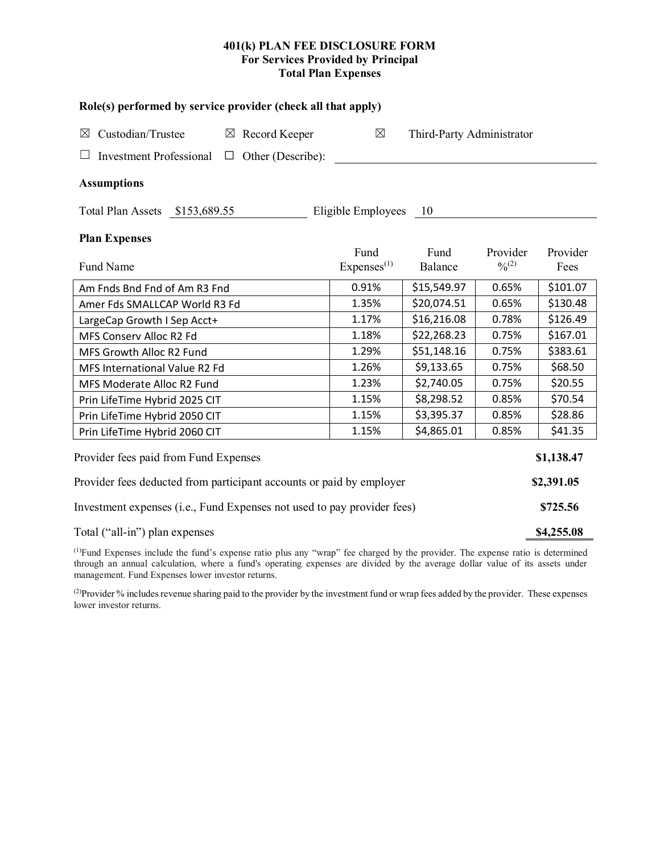## **401(k) PLAN FEE DISCLOSURE FORM For Services Provided by Principal Total Plan Expenses**

| Role(s) performed by service provider (check all that apply)            |                                |                           |                         |                  |  |  |  |  |  |
|-------------------------------------------------------------------------|--------------------------------|---------------------------|-------------------------|------------------|--|--|--|--|--|
| Custodian/Trustee<br>Record Keeper<br>$\boxtimes$<br>$\boxtimes$        | $\boxtimes$                    | Third-Party Administrator |                         |                  |  |  |  |  |  |
| <b>Investment Professional</b><br>Other (Describe):<br>$\Box$           |                                |                           |                         |                  |  |  |  |  |  |
| <b>Assumptions</b>                                                      |                                |                           |                         |                  |  |  |  |  |  |
| Total Plan Assets \$153,689.55                                          | Eligible Employees             | - 10                      |                         |                  |  |  |  |  |  |
| <b>Plan Expenses</b>                                                    |                                |                           |                         |                  |  |  |  |  |  |
| Fund Name                                                               | Fund<br>Express <sup>(1)</sup> | Fund<br>Balance           | Provider<br>$0/0^{(2)}$ | Provider<br>Fees |  |  |  |  |  |
| Am Fnds Bnd Fnd of Am R3 Fnd                                            | 0.91%                          | \$15,549.97               | 0.65%                   | \$101.07         |  |  |  |  |  |
| Amer Fds SMALLCAP World R3 Fd                                           | 1.35%                          | \$20,074.51               | 0.65%                   | \$130.48         |  |  |  |  |  |
| LargeCap Growth I Sep Acct+                                             | 1.17%                          | \$16,216.08               | 0.78%                   | \$126.49         |  |  |  |  |  |
| MFS Conserv Alloc R2 Fd                                                 | 1.18%                          | \$22,268.23               | 0.75%                   | \$167.01         |  |  |  |  |  |
| MFS Growth Alloc R2 Fund                                                | 1.29%                          | \$51,148.16               | 0.75%                   | \$383.61         |  |  |  |  |  |
| MFS International Value R2 Fd                                           | 1.26%                          | \$9,133.65                | 0.75%                   | \$68.50          |  |  |  |  |  |
| MFS Moderate Alloc R2 Fund                                              | 1.23%                          | \$2,740.05                | 0.75%                   | \$20.55          |  |  |  |  |  |
| Prin LifeTime Hybrid 2025 CIT                                           | 1.15%                          | \$8,298.52                | 0.85%                   | \$70.54          |  |  |  |  |  |
| Prin LifeTime Hybrid 2050 CIT                                           | 1.15%                          | \$3,395.37                | 0.85%                   | \$28.86          |  |  |  |  |  |
| Prin LifeTime Hybrid 2060 CIT                                           | 1.15%                          | \$4,865.01                | 0.85%                   | \$41.35          |  |  |  |  |  |
| Provider fees paid from Fund Expenses                                   |                                |                           |                         | \$1,138.47       |  |  |  |  |  |
| Provider fees deducted from participant accounts or paid by employer    |                                |                           |                         |                  |  |  |  |  |  |
| Investment expenses (i.e., Fund Expenses not used to pay provider fees) |                                |                           |                         |                  |  |  |  |  |  |
| Total ("all-in") plan expenses                                          |                                |                           |                         |                  |  |  |  |  |  |

(1) Fund Expenses include the fund's expense ratio plus any "wrap" fee charged by the provider. The expense ratio is determined through an annual calculation, where a fund's operating expenses are divided by the average dollar value of its assets under management. Fund Expenses lower investor returns.

(2) Provider % includes revenue sharing paid to the provider by the investment fund or wrap fees added by the provider. These expenses lower investor returns.